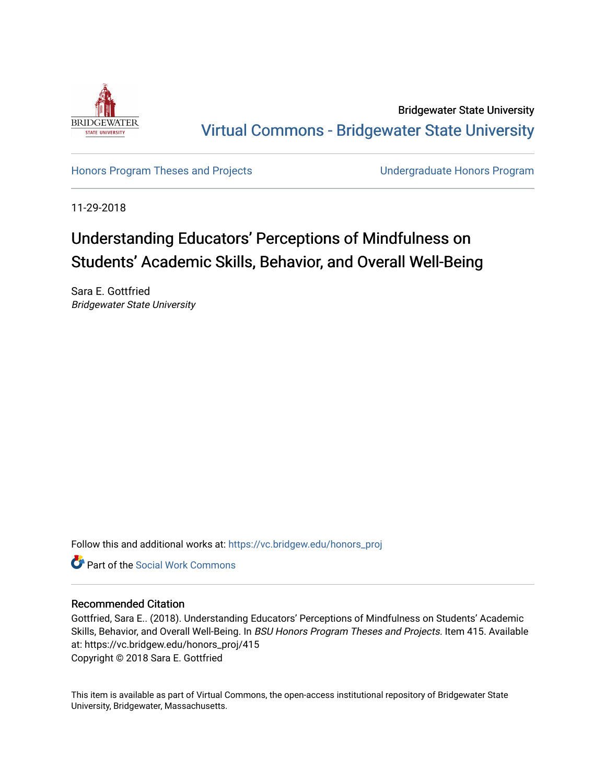

Bridgewater State University [Virtual Commons - Bridgewater State University](https://vc.bridgew.edu/) 

[Honors Program Theses and Projects](https://vc.bridgew.edu/honors_proj) [Undergraduate Honors Program](https://vc.bridgew.edu/honors) 

11-29-2018

# Understanding Educators' Perceptions of Mindfulness on Students' Academic Skills, Behavior, and Overall Well-Being

Sara E. Gottfried Bridgewater State University

Follow this and additional works at: [https://vc.bridgew.edu/honors\\_proj](https://vc.bridgew.edu/honors_proj?utm_source=vc.bridgew.edu%2Fhonors_proj%2F415&utm_medium=PDF&utm_campaign=PDFCoverPages)



# Recommended Citation

Gottfried, Sara E.. (2018). Understanding Educators' Perceptions of Mindfulness on Students' Academic Skills, Behavior, and Overall Well-Being. In BSU Honors Program Theses and Projects. Item 415. Available at: https://vc.bridgew.edu/honors\_proj/415 Copyright © 2018 Sara E. Gottfried

This item is available as part of Virtual Commons, the open-access institutional repository of Bridgewater State University, Bridgewater, Massachusetts.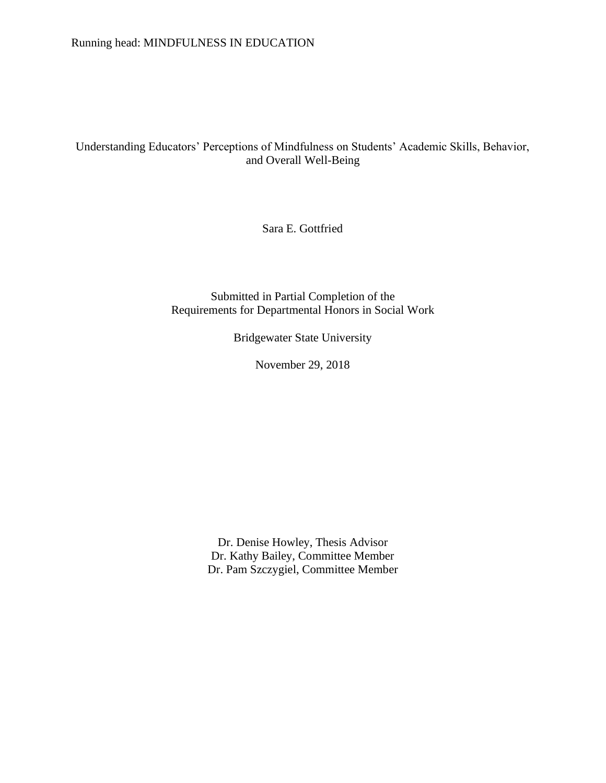# Understanding Educators' Perceptions of Mindfulness on Students' Academic Skills, Behavior, and Overall Well-Being

Sara E. Gottfried

Submitted in Partial Completion of the Requirements for Departmental Honors in Social Work

Bridgewater State University

November 29, 2018

Dr. Denise Howley, Thesis Advisor Dr. Kathy Bailey, Committee Member Dr. Pam Szczygiel, Committee Member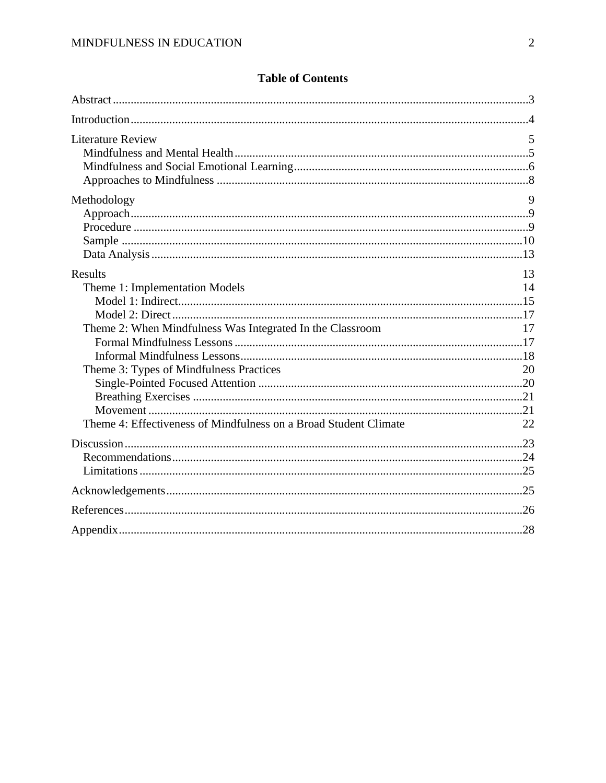| <b>Literature Review</b>                                                                                                                                                                                                     | 5                          |
|------------------------------------------------------------------------------------------------------------------------------------------------------------------------------------------------------------------------------|----------------------------|
| Methodology                                                                                                                                                                                                                  | 9                          |
| <b>Results</b><br>Theme 1: Implementation Models<br>Theme 2: When Mindfulness Was Integrated In the Classroom<br>Theme 3: Types of Mindfulness Practices<br>Theme 4: Effectiveness of Mindfulness on a Broad Student Climate | 13<br>14<br>17<br>20<br>22 |
|                                                                                                                                                                                                                              |                            |
|                                                                                                                                                                                                                              |                            |
|                                                                                                                                                                                                                              |                            |
|                                                                                                                                                                                                                              |                            |

# **Table of Contents**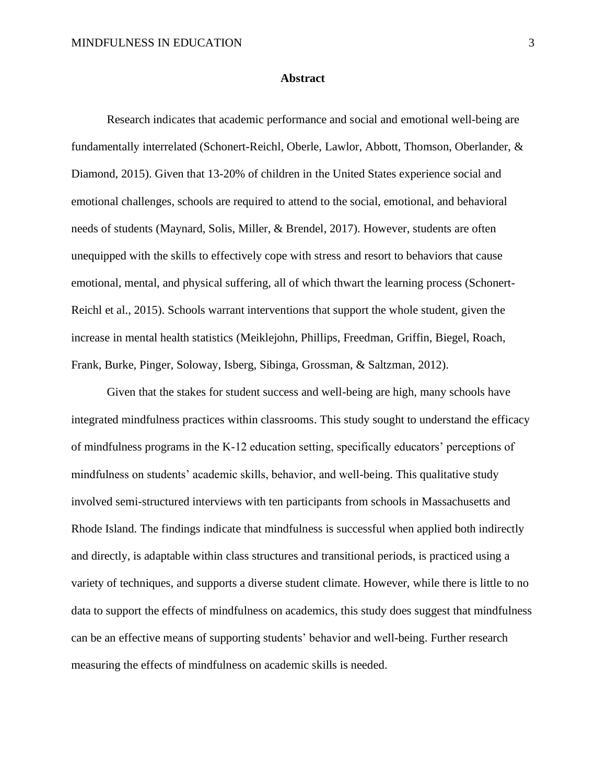#### **Abstract**

Research indicates that academic performance and social and emotional well-being are fundamentally interrelated (Schonert-Reichl, Oberle, Lawlor, Abbott, Thomson, Oberlander, & Diamond, 2015). Given that 13-20% of children in the United States experience social and emotional challenges, schools are required to attend to the social, emotional, and behavioral needs of students (Maynard, Solis, Miller, & Brendel, 2017). However, students are often unequipped with the skills to effectively cope with stress and resort to behaviors that cause emotional, mental, and physical suffering, all of which thwart the learning process (Schonert-Reichl et al., 2015). Schools warrant interventions that support the whole student, given the increase in mental health statistics (Meiklejohn, Phillips, Freedman, Griffin, Biegel, Roach, Frank, Burke, Pinger, Soloway, Isberg, Sibinga, Grossman, & Saltzman, 2012).

Given that the stakes for student success and well-being are high, many schools have integrated mindfulness practices within classrooms. This study sought to understand the efficacy of mindfulness programs in the K-12 education setting, specifically educators' perceptions of mindfulness on students' academic skills, behavior, and well-being. This qualitative study involved semi-structured interviews with ten participants from schools in Massachusetts and Rhode Island. The findings indicate that mindfulness is successful when applied both indirectly and directly, is adaptable within class structures and transitional periods, is practiced using a variety of techniques, and supports a diverse student climate. However, while there is little to no data to support the effects of mindfulness on academics, this study does suggest that mindfulness can be an effective means of supporting students' behavior and well-being. Further research measuring the effects of mindfulness on academic skills is needed.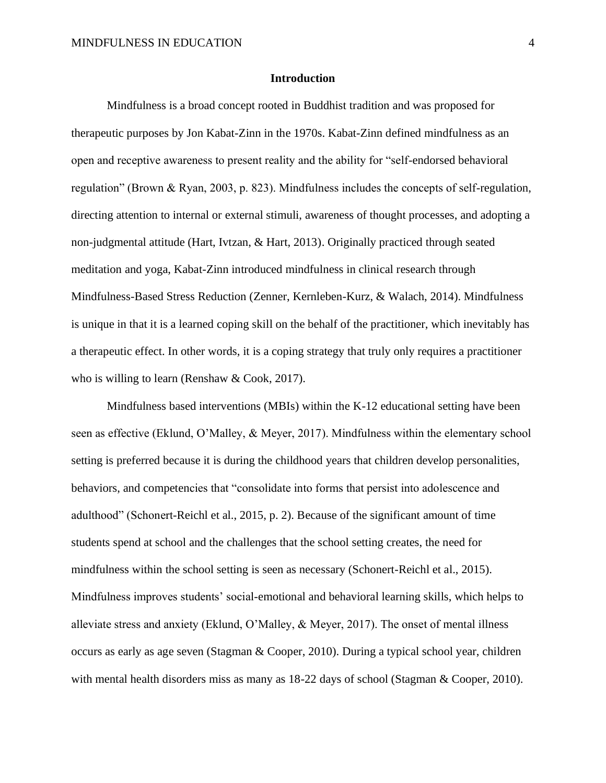#### **Introduction**

Mindfulness is a broad concept rooted in Buddhist tradition and was proposed for therapeutic purposes by Jon Kabat-Zinn in the 1970s. Kabat-Zinn defined mindfulness as an open and receptive awareness to present reality and the ability for "self-endorsed behavioral regulation" (Brown & Ryan, 2003, p. 823). Mindfulness includes the concepts of self-regulation, directing attention to internal or external stimuli, awareness of thought processes, and adopting a non-judgmental attitude (Hart, Ivtzan, & Hart, 2013). Originally practiced through seated meditation and yoga, Kabat-Zinn introduced mindfulness in clinical research through Mindfulness-Based Stress Reduction (Zenner, Kernleben-Kurz, & Walach, 2014). Mindfulness is unique in that it is a learned coping skill on the behalf of the practitioner, which inevitably has a therapeutic effect. In other words, it is a coping strategy that truly only requires a practitioner who is willing to learn (Renshaw & Cook, 2017).

Mindfulness based interventions (MBIs) within the K-12 educational setting have been seen as effective (Eklund, O'Malley, & Meyer, 2017). Mindfulness within the elementary school setting is preferred because it is during the childhood years that children develop personalities, behaviors, and competencies that "consolidate into forms that persist into adolescence and adulthood" (Schonert-Reichl et al., 2015, p. 2). Because of the significant amount of time students spend at school and the challenges that the school setting creates, the need for mindfulness within the school setting is seen as necessary (Schonert-Reichl et al., 2015). Mindfulness improves students' social-emotional and behavioral learning skills, which helps to alleviate stress and anxiety (Eklund, O'Malley, & Meyer, 2017). The onset of mental illness occurs as early as age seven (Stagman & Cooper, 2010). During a typical school year, children with mental health disorders miss as many as  $18-22$  days of school (Stagman & Cooper, 2010).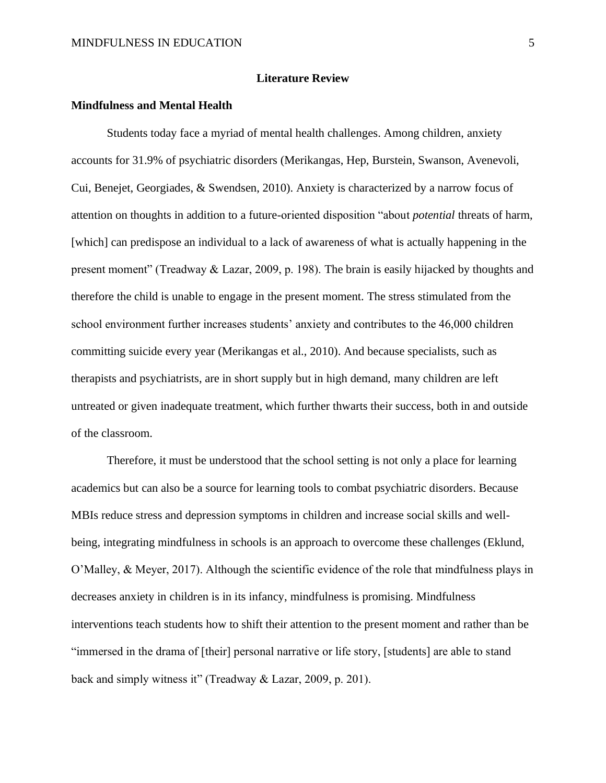### **Literature Review**

# **Mindfulness and Mental Health**

Students today face a myriad of mental health challenges. Among children, anxiety accounts for 31.9% of psychiatric disorders (Merikangas, Hep, Burstein, Swanson, Avenevoli, Cui, Benejet, Georgiades, & Swendsen, 2010). Anxiety is characterized by a narrow focus of attention on thoughts in addition to a future-oriented disposition "about *potential* threats of harm, [which] can predispose an individual to a lack of awareness of what is actually happening in the present moment" (Treadway & Lazar, 2009, p. 198). The brain is easily hijacked by thoughts and therefore the child is unable to engage in the present moment. The stress stimulated from the school environment further increases students' anxiety and contributes to the 46,000 children committing suicide every year (Merikangas et al., 2010). And because specialists, such as therapists and psychiatrists, are in short supply but in high demand, many children are left untreated or given inadequate treatment, which further thwarts their success, both in and outside of the classroom.

Therefore, it must be understood that the school setting is not only a place for learning academics but can also be a source for learning tools to combat psychiatric disorders. Because MBIs reduce stress and depression symptoms in children and increase social skills and wellbeing, integrating mindfulness in schools is an approach to overcome these challenges (Eklund, O'Malley, & Meyer, 2017). Although the scientific evidence of the role that mindfulness plays in decreases anxiety in children is in its infancy, mindfulness is promising. Mindfulness interventions teach students how to shift their attention to the present moment and rather than be "immersed in the drama of [their] personal narrative or life story, [students] are able to stand back and simply witness it" (Treadway & Lazar, 2009, p. 201).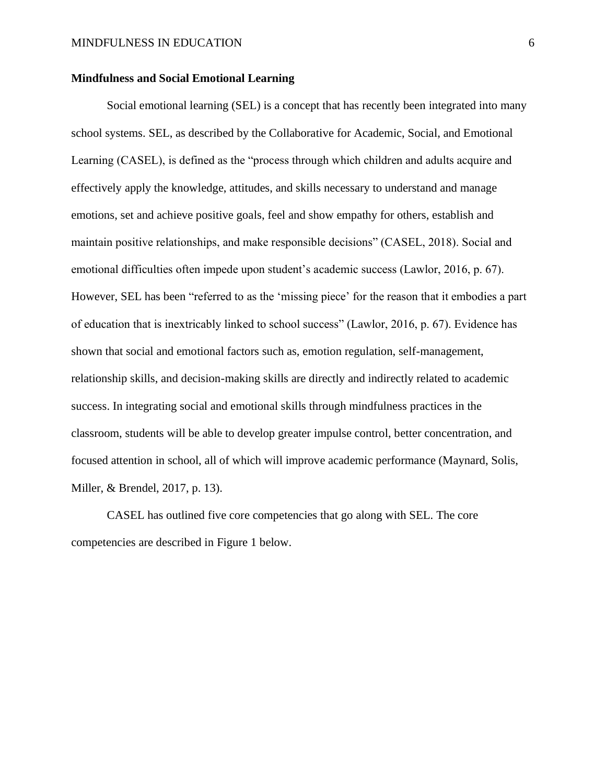# **Mindfulness and Social Emotional Learning**

Social emotional learning (SEL) is a concept that has recently been integrated into many school systems. SEL, as described by the Collaborative for Academic, Social, and Emotional Learning (CASEL), is defined as the "process through which children and adults acquire and effectively apply the knowledge, attitudes, and skills necessary to understand and manage emotions, set and achieve positive goals, feel and show empathy for others, establish and maintain positive relationships, and make responsible decisions" (CASEL, 2018). Social and emotional difficulties often impede upon student's academic success (Lawlor, 2016, p. 67). However, SEL has been "referred to as the 'missing piece' for the reason that it embodies a part of education that is inextricably linked to school success" (Lawlor, 2016, p. 67). Evidence has shown that social and emotional factors such as, emotion regulation, self-management, relationship skills, and decision-making skills are directly and indirectly related to academic success. In integrating social and emotional skills through mindfulness practices in the classroom, students will be able to develop greater impulse control, better concentration, and focused attention in school, all of which will improve academic performance (Maynard, Solis, Miller, & Brendel, 2017, p. 13).

CASEL has outlined five core competencies that go along with SEL. The core competencies are described in Figure 1 below.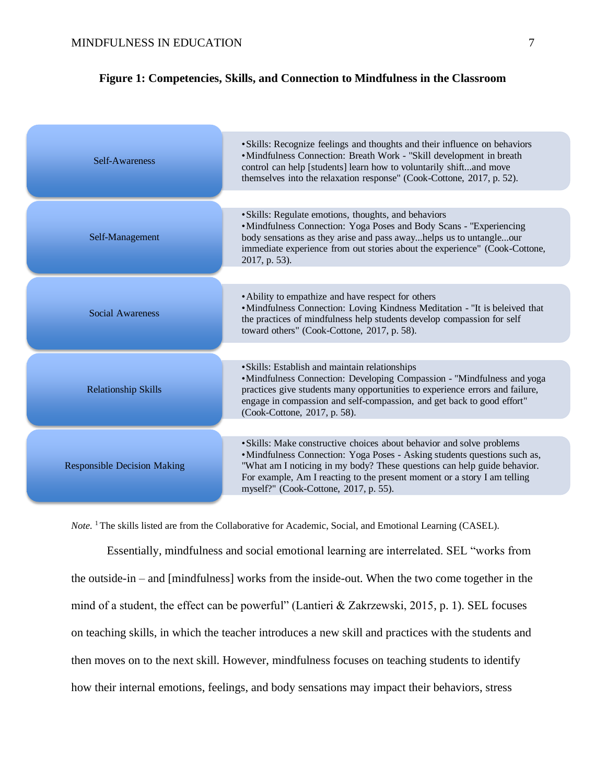# **Figure 1: Competencies, Skills, and Connection to Mindfulness in the Classroom**

| Self-Awareness                     | • Skills: Recognize feelings and thoughts and their influence on behaviors<br>• Mindfulness Connection: Breath Work - "Skill development in breath<br>control can help [students] learn how to voluntarily shiftand move<br>themselves into the relaxation response" (Cook-Cottone, 2017, p. 52).                                                   |
|------------------------------------|-----------------------------------------------------------------------------------------------------------------------------------------------------------------------------------------------------------------------------------------------------------------------------------------------------------------------------------------------------|
| Self-Management                    | • Skills: Regulate emotions, thoughts, and behaviors<br>• Mindfulness Connection: Yoga Poses and Body Scans - "Experiencing<br>body sensations as they arise and pass awayhelps us to untangleour<br>immediate experience from out stories about the experience" (Cook-Cottone,<br>2017, p. 53).                                                    |
| <b>Social Awareness</b>            | • Ability to empathize and have respect for others<br>• Mindfulness Connection: Loving Kindness Meditation - "It is beleived that<br>the practices of mindfulness help students develop compassion for self<br>toward others" (Cook-Cottone, 2017, p. 58).                                                                                          |
| <b>Relationship Skills</b>         | • Skills: Establish and maintain relationships<br>•Mindfulness Connection: Developing Compassion - "Mindfulness and yoga<br>practices give students many opportunities to experience errors and failure,<br>engage in compassion and self-compassion, and get back to good effort"<br>(Cook-Cottone, 2017, p. 58).                                  |
| <b>Responsible Decision Making</b> | • Skills: Make constructive choices about behavior and solve problems<br>• Mindfulness Connection: Yoga Poses - Asking students questions such as,<br>"What am I noticing in my body? These questions can help guide behavior.<br>For example, Am I reacting to the present moment or a story I am telling<br>myself?" (Cook-Cottone, 2017, p. 55). |

*Note.* <sup>1</sup>The skills listed are from the Collaborative for Academic, Social, and Emotional Learning (CASEL).

Essentially, mindfulness and social emotional learning are interrelated. SEL "works from the outside-in – and [mindfulness] works from the inside-out. When the two come together in the mind of a student, the effect can be powerful" (Lantieri & Zakrzewski, 2015, p. 1). SEL focuses on teaching skills, in which the teacher introduces a new skill and practices with the students and then moves on to the next skill. However, mindfulness focuses on teaching students to identify how their internal emotions, feelings, and body sensations may impact their behaviors, stress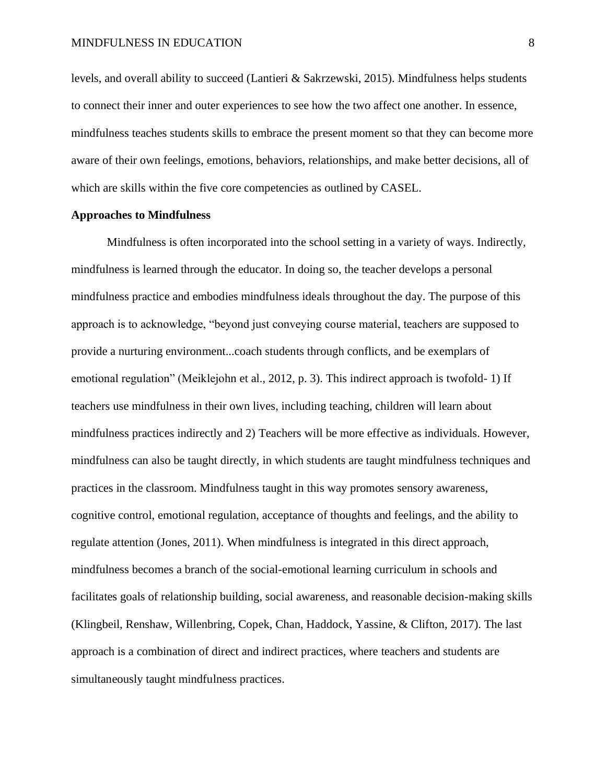levels, and overall ability to succeed (Lantieri & Sakrzewski, 2015). Mindfulness helps students to connect their inner and outer experiences to see how the two affect one another. In essence, mindfulness teaches students skills to embrace the present moment so that they can become more aware of their own feelings, emotions, behaviors, relationships, and make better decisions, all of which are skills within the five core competencies as outlined by CASEL.

## **Approaches to Mindfulness**

Mindfulness is often incorporated into the school setting in a variety of ways. Indirectly, mindfulness is learned through the educator. In doing so, the teacher develops a personal mindfulness practice and embodies mindfulness ideals throughout the day. The purpose of this approach is to acknowledge, "beyond just conveying course material, teachers are supposed to provide a nurturing environment...coach students through conflicts, and be exemplars of emotional regulation" (Meiklejohn et al., 2012, p. 3). This indirect approach is twofold- 1) If teachers use mindfulness in their own lives, including teaching, children will learn about mindfulness practices indirectly and 2) Teachers will be more effective as individuals. However, mindfulness can also be taught directly, in which students are taught mindfulness techniques and practices in the classroom. Mindfulness taught in this way promotes sensory awareness, cognitive control, emotional regulation, acceptance of thoughts and feelings, and the ability to regulate attention (Jones, 2011). When mindfulness is integrated in this direct approach, mindfulness becomes a branch of the social-emotional learning curriculum in schools and facilitates goals of relationship building, social awareness, and reasonable decision-making skills (Klingbeil, Renshaw, Willenbring, Copek, Chan, Haddock, Yassine, & Clifton, 2017). The last approach is a combination of direct and indirect practices, where teachers and students are simultaneously taught mindfulness practices.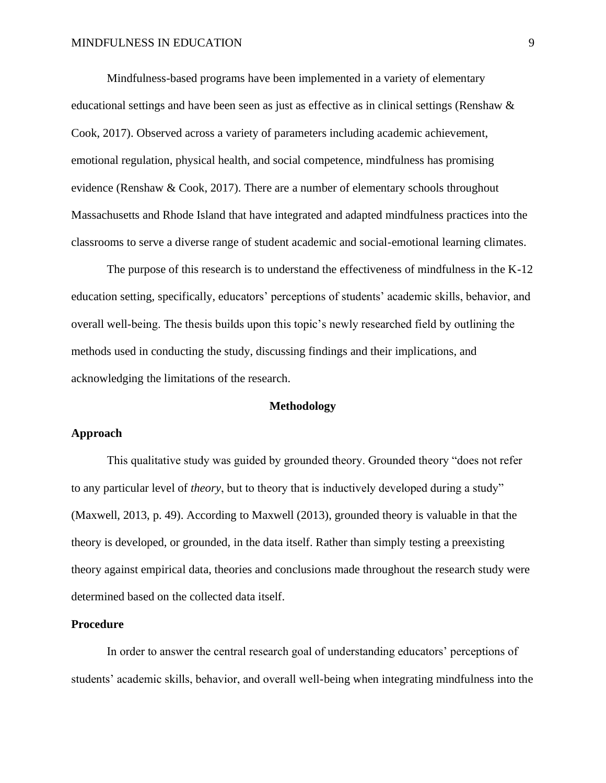Mindfulness-based programs have been implemented in a variety of elementary educational settings and have been seen as just as effective as in clinical settings (Renshaw & Cook, 2017). Observed across a variety of parameters including academic achievement, emotional regulation, physical health, and social competence, mindfulness has promising evidence (Renshaw & Cook, 2017). There are a number of elementary schools throughout Massachusetts and Rhode Island that have integrated and adapted mindfulness practices into the classrooms to serve a diverse range of student academic and social-emotional learning climates.

The purpose of this research is to understand the effectiveness of mindfulness in the K-12 education setting, specifically, educators' perceptions of students' academic skills, behavior, and overall well-being. The thesis builds upon this topic's newly researched field by outlining the methods used in conducting the study, discussing findings and their implications, and acknowledging the limitations of the research.

#### **Methodology**

## **Approach**

This qualitative study was guided by grounded theory. Grounded theory "does not refer to any particular level of *theory*, but to theory that is inductively developed during a study" (Maxwell, 2013, p. 49). According to Maxwell (2013), grounded theory is valuable in that the theory is developed, or grounded, in the data itself. Rather than simply testing a preexisting theory against empirical data, theories and conclusions made throughout the research study were determined based on the collected data itself.

#### **Procedure**

In order to answer the central research goal of understanding educators' perceptions of students' academic skills, behavior, and overall well-being when integrating mindfulness into the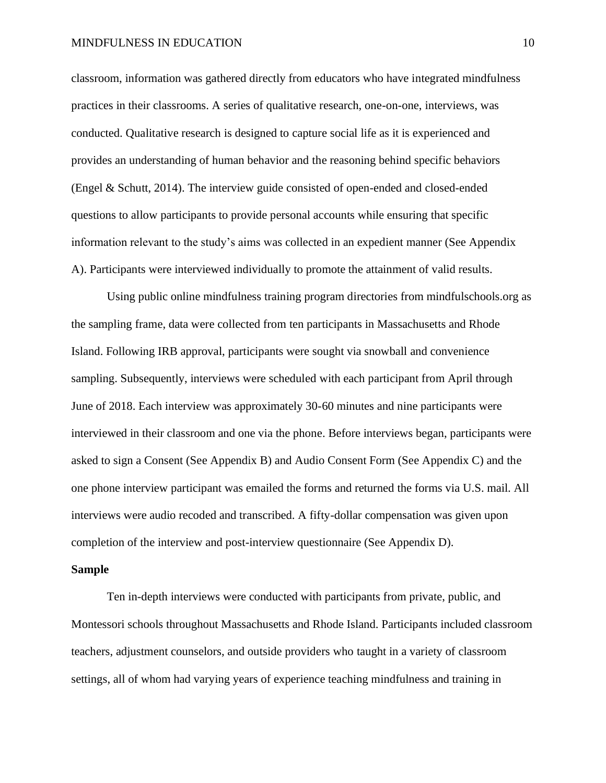classroom, information was gathered directly from educators who have integrated mindfulness practices in their classrooms. A series of qualitative research, one-on-one, interviews, was conducted. Qualitative research is designed to capture social life as it is experienced and provides an understanding of human behavior and the reasoning behind specific behaviors (Engel & Schutt, 2014). The interview guide consisted of open-ended and closed-ended questions to allow participants to provide personal accounts while ensuring that specific information relevant to the study's aims was collected in an expedient manner (See Appendix A). Participants were interviewed individually to promote the attainment of valid results.

Using public online mindfulness training program directories from mindfulschools.org as the sampling frame, data were collected from ten participants in Massachusetts and Rhode Island. Following IRB approval, participants were sought via snowball and convenience sampling. Subsequently, interviews were scheduled with each participant from April through June of 2018. Each interview was approximately 30-60 minutes and nine participants were interviewed in their classroom and one via the phone. Before interviews began, participants were asked to sign a Consent (See Appendix B) and Audio Consent Form (See Appendix C) and the one phone interview participant was emailed the forms and returned the forms via U.S. mail. All interviews were audio recoded and transcribed. A fifty-dollar compensation was given upon completion of the interview and post-interview questionnaire (See Appendix D).

#### **Sample**

Ten in-depth interviews were conducted with participants from private, public, and Montessori schools throughout Massachusetts and Rhode Island. Participants included classroom teachers, adjustment counselors, and outside providers who taught in a variety of classroom settings, all of whom had varying years of experience teaching mindfulness and training in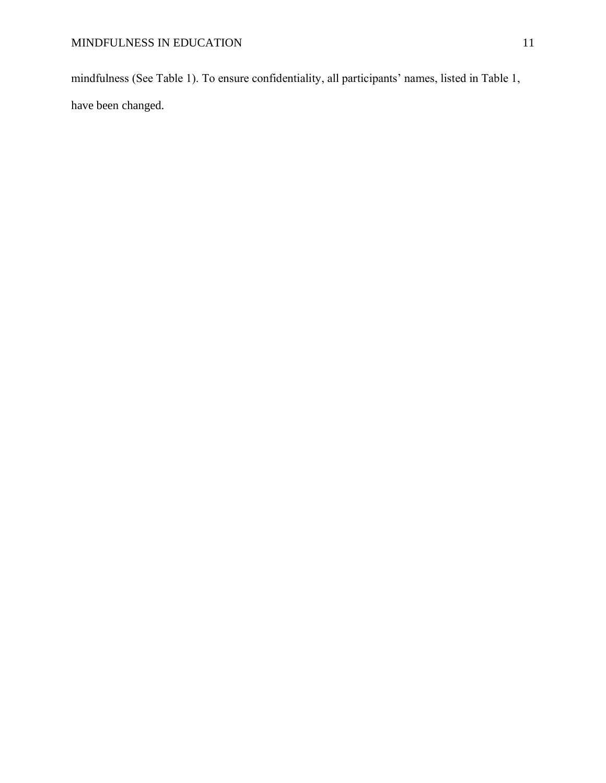mindfulness (See Table 1). To ensure confidentiality, all participants' names, listed in Table 1, have been changed.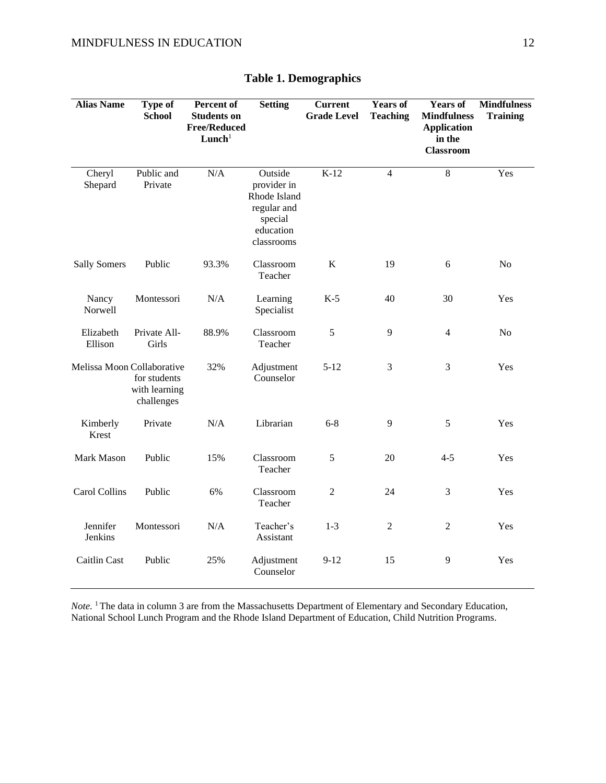| <b>Alias Name</b>          | <b>Type of</b><br><b>School</b>             | Percent of<br><b>Students on</b><br><b>Free/Reduced</b><br>Lunch <sup>1</sup> | <b>Setting</b>                                                                              | <b>Current</b><br><b>Grade Level</b> | <b>Years of</b><br><b>Teaching</b> | <b>Years of</b><br><b>Mindfulness</b><br><b>Application</b><br>in the<br><b>Classroom</b> | <b>Mindfulness</b><br><b>Training</b> |
|----------------------------|---------------------------------------------|-------------------------------------------------------------------------------|---------------------------------------------------------------------------------------------|--------------------------------------|------------------------------------|-------------------------------------------------------------------------------------------|---------------------------------------|
| Cheryl<br>Shepard          | Public and<br>Private                       | N/A                                                                           | Outside<br>provider in<br>Rhode Island<br>regular and<br>special<br>education<br>classrooms | $K-12$                               | $\overline{4}$                     | 8                                                                                         | Yes                                   |
| <b>Sally Somers</b>        | Public                                      | 93.3%                                                                         | Classroom<br>Teacher                                                                        | $\bf K$                              | 19                                 | 6                                                                                         | N <sub>o</sub>                        |
| Nancy<br>Norwell           | Montessori                                  | N/A                                                                           | Learning<br>Specialist                                                                      | $K-5$                                | 40                                 | 30                                                                                        | Yes                                   |
| Elizabeth<br>Ellison       | Private All-<br>Girls                       | 88.9%                                                                         | Classroom<br>Teacher                                                                        | 5                                    | 9                                  | $\overline{4}$                                                                            | N <sub>o</sub>                        |
| Melissa Moon Collaborative | for students<br>with learning<br>challenges | 32%                                                                           | Adjustment<br>Counselor                                                                     | $5 - 12$                             | 3                                  | 3                                                                                         | Yes                                   |
| Kimberly<br>Krest          | Private                                     | N/A                                                                           | Librarian                                                                                   | $6 - 8$                              | 9                                  | 5                                                                                         | Yes                                   |
| <b>Mark Mason</b>          | Public                                      | 15%                                                                           | Classroom<br>Teacher                                                                        | 5                                    | 20                                 | $4 - 5$                                                                                   | Yes                                   |
| Carol Collins              | Public                                      | 6%                                                                            | Classroom<br>Teacher                                                                        | $\overline{2}$                       | 24                                 | 3                                                                                         | Yes                                   |
| Jennifer<br>Jenkins        | Montessori                                  | N/A                                                                           | Teacher's<br>Assistant                                                                      | $1 - 3$                              | $\overline{2}$                     | 2                                                                                         | Yes                                   |
| Caitlin Cast               | Public                                      | 25%                                                                           | Adjustment<br>Counselor                                                                     | $9-12$                               | 15                                 | 9                                                                                         | Yes                                   |

# **Table 1. Demographics**

*Note.* <sup>1</sup>The data in column 3 are from the Massachusetts Department of Elementary and Secondary Education, National School Lunch Program and the Rhode Island Department of Education, Child Nutrition Programs.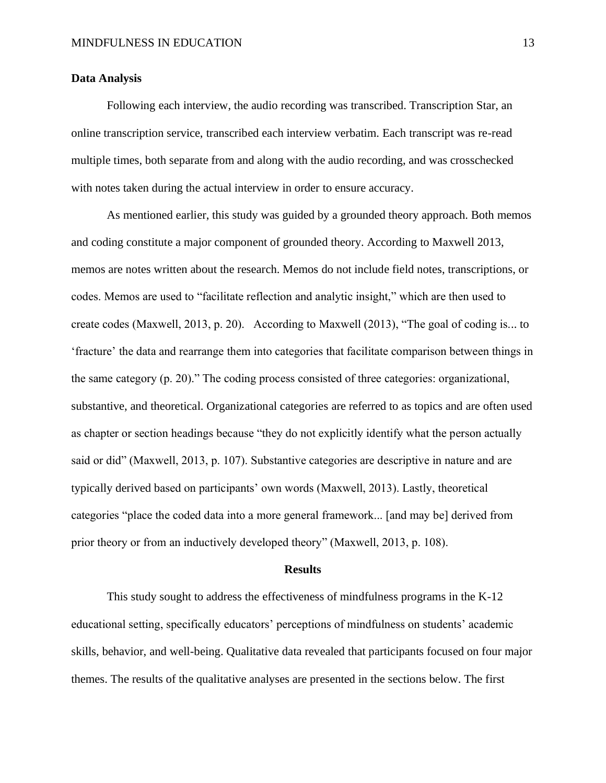# **Data Analysis**

Following each interview, the audio recording was transcribed. Transcription Star, an online transcription service, transcribed each interview verbatim. Each transcript was re-read multiple times, both separate from and along with the audio recording, and was crosschecked with notes taken during the actual interview in order to ensure accuracy.

As mentioned earlier, this study was guided by a grounded theory approach. Both memos and coding constitute a major component of grounded theory. According to Maxwell 2013, memos are notes written about the research. Memos do not include field notes, transcriptions, or codes. Memos are used to "facilitate reflection and analytic insight," which are then used to create codes (Maxwell, 2013, p. 20). According to Maxwell (2013), "The goal of coding is... to 'fracture' the data and rearrange them into categories that facilitate comparison between things in the same category (p. 20)." The coding process consisted of three categories: organizational, substantive, and theoretical. Organizational categories are referred to as topics and are often used as chapter or section headings because "they do not explicitly identify what the person actually said or did" (Maxwell, 2013, p. 107). Substantive categories are descriptive in nature and are typically derived based on participants' own words (Maxwell, 2013). Lastly, theoretical categories "place the coded data into a more general framework... [and may be] derived from prior theory or from an inductively developed theory" (Maxwell, 2013, p. 108).

#### **Results**

This study sought to address the effectiveness of mindfulness programs in the K-12 educational setting, specifically educators' perceptions of mindfulness on students' academic skills, behavior, and well-being. Qualitative data revealed that participants focused on four major themes. The results of the qualitative analyses are presented in the sections below. The first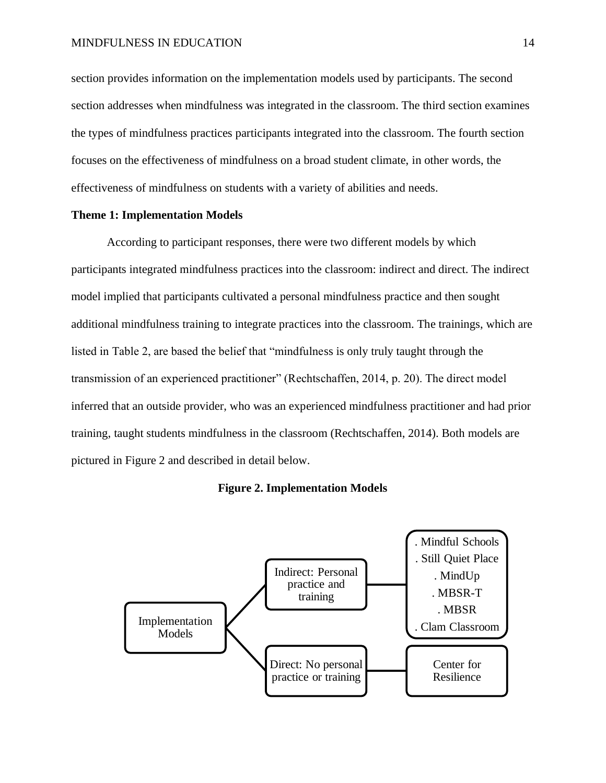section provides information on the implementation models used by participants. The second section addresses when mindfulness was integrated in the classroom. The third section examines the types of mindfulness practices participants integrated into the classroom. The fourth section focuses on the effectiveness of mindfulness on a broad student climate, in other words, the effectiveness of mindfulness on students with a variety of abilities and needs.

#### **Theme 1: Implementation Models**

According to participant responses, there were two different models by which participants integrated mindfulness practices into the classroom: indirect and direct. The indirect model implied that participants cultivated a personal mindfulness practice and then sought additional mindfulness training to integrate practices into the classroom. The trainings, which are listed in Table 2, are based the belief that "mindfulness is only truly taught through the transmission of an experienced practitioner" (Rechtschaffen, 2014, p. 20). The direct model inferred that an outside provider, who was an experienced mindfulness practitioner and had prior training, taught students mindfulness in the classroom (Rechtschaffen, 2014). Both models are pictured in Figure 2 and described in detail below.

#### **Figure 2. Implementation Models**

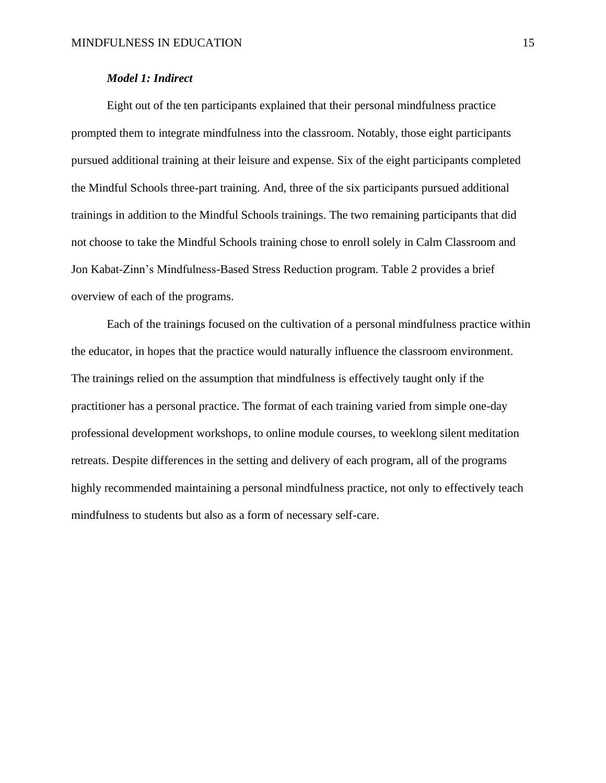# *Model 1: Indirect*

Eight out of the ten participants explained that their personal mindfulness practice prompted them to integrate mindfulness into the classroom. Notably, those eight participants pursued additional training at their leisure and expense. Six of the eight participants completed the Mindful Schools three-part training. And, three of the six participants pursued additional trainings in addition to the Mindful Schools trainings. The two remaining participants that did not choose to take the Mindful Schools training chose to enroll solely in Calm Classroom and Jon Kabat-Zinn's Mindfulness-Based Stress Reduction program. Table 2 provides a brief overview of each of the programs.

Each of the trainings focused on the cultivation of a personal mindfulness practice within the educator, in hopes that the practice would naturally influence the classroom environment. The trainings relied on the assumption that mindfulness is effectively taught only if the practitioner has a personal practice. The format of each training varied from simple one-day professional development workshops, to online module courses, to weeklong silent meditation retreats. Despite differences in the setting and delivery of each program, all of the programs highly recommended maintaining a personal mindfulness practice, not only to effectively teach mindfulness to students but also as a form of necessary self-care.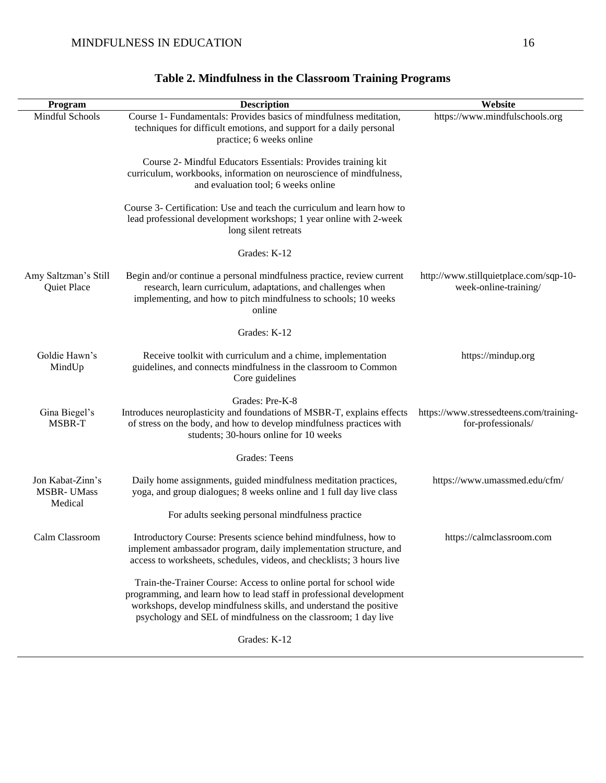| Program                                          | <b>Description</b>                                                                                                                                                                                                                                                                | Website                                                         |
|--------------------------------------------------|-----------------------------------------------------------------------------------------------------------------------------------------------------------------------------------------------------------------------------------------------------------------------------------|-----------------------------------------------------------------|
| Mindful Schools                                  | Course 1- Fundamentals: Provides basics of mindfulness meditation,<br>techniques for difficult emotions, and support for a daily personal<br>practice; 6 weeks online                                                                                                             | https://www.mindfulschools.org                                  |
|                                                  | Course 2- Mindful Educators Essentials: Provides training kit<br>curriculum, workbooks, information on neuroscience of mindfulness,<br>and evaluation tool; 6 weeks online                                                                                                        |                                                                 |
|                                                  | Course 3- Certification: Use and teach the curriculum and learn how to<br>lead professional development workshops; 1 year online with 2-week<br>long silent retreats                                                                                                              |                                                                 |
|                                                  | Grades: K-12                                                                                                                                                                                                                                                                      |                                                                 |
| Amy Saltzman's Still<br>Quiet Place              | Begin and/or continue a personal mindfulness practice, review current<br>research, learn curriculum, adaptations, and challenges when<br>implementing, and how to pitch mindfulness to schools; 10 weeks<br>online                                                                | http://www.stillquietplace.com/sqp-10-<br>week-online-training/ |
|                                                  | Grades: K-12                                                                                                                                                                                                                                                                      |                                                                 |
| Goldie Hawn's<br>MindUp                          | Receive toolkit with curriculum and a chime, implementation<br>guidelines, and connects mindfulness in the classroom to Common<br>Core guidelines                                                                                                                                 | https://mindup.org                                              |
| Gina Biegel's<br>MSBR-T                          | Grades: Pre-K-8<br>Introduces neuroplasticity and foundations of MSBR-T, explains effects<br>of stress on the body, and how to develop mindfulness practices with<br>students; 30-hours online for 10 weeks                                                                       | https://www.stressedteens.com/training-<br>for-professionals/   |
|                                                  | <b>Grades: Teens</b>                                                                                                                                                                                                                                                              |                                                                 |
| Jon Kabat-Zinn's<br><b>MSBR-UMass</b><br>Medical | Daily home assignments, guided mindfulness meditation practices,<br>yoga, and group dialogues; 8 weeks online and 1 full day live class                                                                                                                                           | https://www.umassmed.edu/cfm/                                   |
|                                                  | For adults seeking personal mindfulness practice                                                                                                                                                                                                                                  |                                                                 |
| Calm Classroom                                   | Introductory Course: Presents science behind mindfulness, how to<br>implement ambassador program, daily implementation structure, and<br>access to worksheets, schedules, videos, and checklists; 3 hours live                                                                    | https://calmclassroom.com                                       |
|                                                  | Train-the-Trainer Course: Access to online portal for school wide<br>programming, and learn how to lead staff in professional development<br>workshops, develop mindfulness skills, and understand the positive<br>psychology and SEL of mindfulness on the classroom; 1 day live |                                                                 |
|                                                  | Grades: K-12                                                                                                                                                                                                                                                                      |                                                                 |

# **Table 2. Mindfulness in the Classroom Training Programs**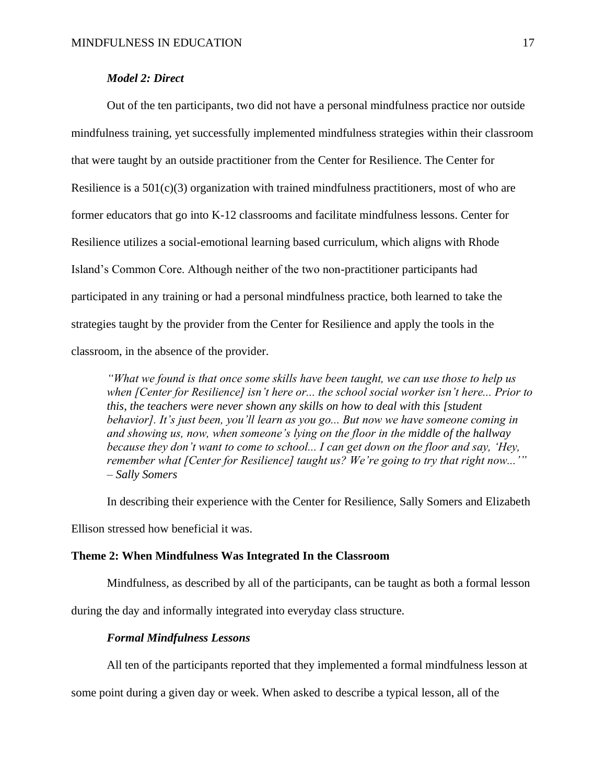# *Model 2: Direct*

Out of the ten participants, two did not have a personal mindfulness practice nor outside mindfulness training, yet successfully implemented mindfulness strategies within their classroom that were taught by an outside practitioner from the Center for Resilience. The Center for Resilience is a  $501(c)(3)$  organization with trained mindfulness practitioners, most of who are former educators that go into K-12 classrooms and facilitate mindfulness lessons. Center for Resilience utilizes a social-emotional learning based curriculum, which aligns with Rhode Island's Common Core. Although neither of the two non-practitioner participants had participated in any training or had a personal mindfulness practice, both learned to take the strategies taught by the provider from the Center for Resilience and apply the tools in the classroom, in the absence of the provider.

*"What we found is that once some skills have been taught, we can use those to help us when [Center for Resilience] isn't here or... the school social worker isn't here... Prior to this, the teachers were never shown any skills on how to deal with this [student behavior]. It's just been, you'll learn as you go... But now we have someone coming in and showing us, now, when someone's lying on the floor in the middle of the hallway because they don't want to come to school... I can get down on the floor and say, 'Hey, remember what [Center for Resilience] taught us? We're going to try that right now...'" – Sally Somers* 

In describing their experience with the Center for Resilience, Sally Somers and Elizabeth Ellison stressed how beneficial it was.

## **Theme 2: When Mindfulness Was Integrated In the Classroom**

Mindfulness, as described by all of the participants, can be taught as both a formal lesson

during the day and informally integrated into everyday class structure.

# *Formal Mindfulness Lessons*

All ten of the participants reported that they implemented a formal mindfulness lesson at

some point during a given day or week. When asked to describe a typical lesson, all of the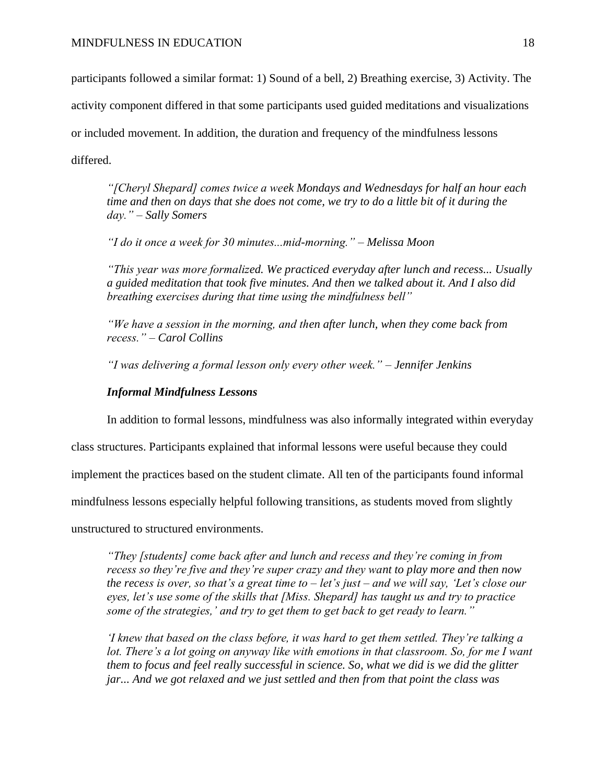participants followed a similar format: 1) Sound of a bell, 2) Breathing exercise, 3) Activity. The

activity component differed in that some participants used guided meditations and visualizations

or included movement. In addition, the duration and frequency of the mindfulness lessons

differed.

*"[Cheryl Shepard] comes twice a week Mondays and Wednesdays for half an hour each time and then on days that she does not come, we try to do a little bit of it during the day." – Sally Somers* 

*"I do it once a week for 30 minutes...mid-morning." – Melissa Moon*

*"This year was more formalized. We practiced everyday after lunch and recess... Usually a guided meditation that took five minutes. And then we talked about it. And I also did breathing exercises during that time using the mindfulness bell"* 

*"We have a session in the morning, and then after lunch, when they come back from recess." – Carol Collins*

*"I was delivering a formal lesson only every other week." – Jennifer Jenkins*

# *Informal Mindfulness Lessons*

In addition to formal lessons, mindfulness was also informally integrated within everyday

class structures. Participants explained that informal lessons were useful because they could

implement the practices based on the student climate. All ten of the participants found informal

mindfulness lessons especially helpful following transitions, as students moved from slightly

unstructured to structured environments.

*"They [students] come back after and lunch and recess and they're coming in from recess so they're five and they're super crazy and they want to play more and then now the recess is over, so that's a great time to – let's just – and we will say, 'Let's close our eyes, let's use some of the skills that [Miss. Shepard] has taught us and try to practice some of the strategies,' and try to get them to get back to get ready to learn."* 

*'I knew that based on the class before, it was hard to get them settled. They're talking a*  lot. There's a lot going on anyway like with emotions in that classroom. So, for me I want *them to focus and feel really successful in science. So, what we did is we did the glitter jar... And we got relaxed and we just settled and then from that point the class was*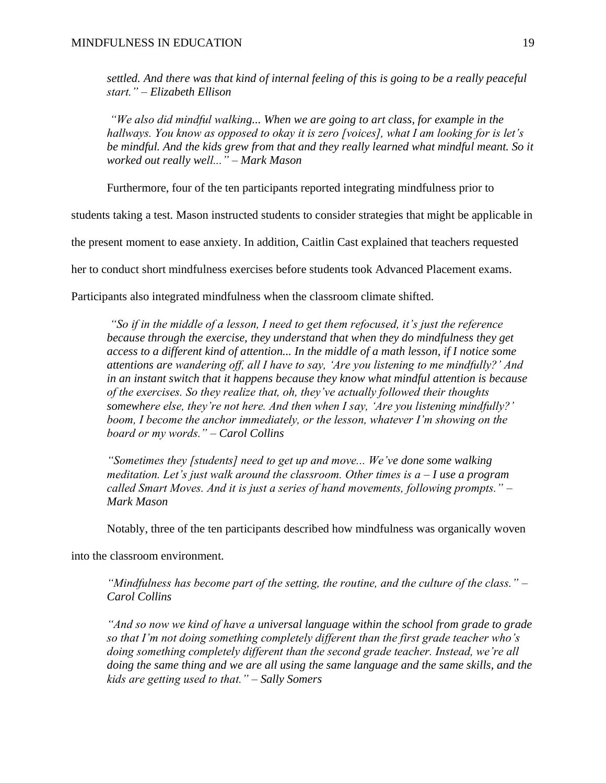*settled. And there was that kind of internal feeling of this is going to be a really peaceful start." – Elizabeth Ellison*

*"We also did mindful walking... When we are going to art class, for example in the hallways. You know as opposed to okay it is zero [voices], what I am looking for is let's be mindful. And the kids grew from that and they really learned what mindful meant. So it worked out really well..." – Mark Mason*

Furthermore, four of the ten participants reported integrating mindfulness prior to

students taking a test. Mason instructed students to consider strategies that might be applicable in

the present moment to ease anxiety. In addition, Caitlin Cast explained that teachers requested

her to conduct short mindfulness exercises before students took Advanced Placement exams.

Participants also integrated mindfulness when the classroom climate shifted.

*"So if in the middle of a lesson, I need to get them refocused, it's just the reference because through the exercise, they understand that when they do mindfulness they get access to a different kind of attention... In the middle of a math lesson, if I notice some attentions are wandering off, all I have to say, 'Are you listening to me mindfully?' And in an instant switch that it happens because they know what mindful attention is because of the exercises. So they realize that, oh, they've actually followed their thoughts somewhere else, they're not here. And then when I say, 'Are you listening mindfully?' boom, I become the anchor immediately, or the lesson, whatever I'm showing on the board or my words." – Carol Collins*

*"Sometimes they [students] need to get up and move... We've done some walking meditation. Let's just walk around the classroom. Other times is a – I use a program called Smart Moves. And it is just a series of hand movements, following prompts." – Mark Mason* 

Notably, three of the ten participants described how mindfulness was organically woven

into the classroom environment.

*"Mindfulness has become part of the setting, the routine, and the culture of the class." – Carol Collins*

*"And so now we kind of have a universal language within the school from grade to grade so that I'm not doing something completely different than the first grade teacher who's doing something completely different than the second grade teacher. Instead, we're all doing the same thing and we are all using the same language and the same skills, and the kids are getting used to that." – Sally Somers*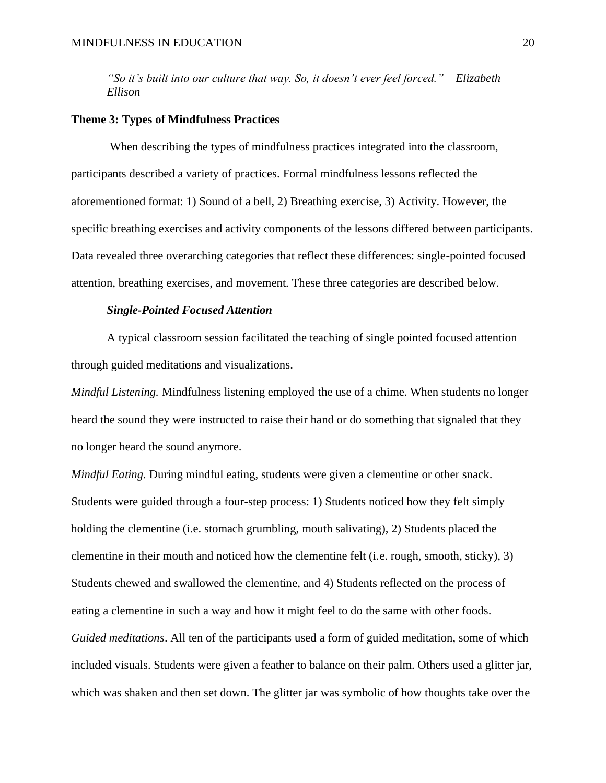*"So it's built into our culture that way. So, it doesn't ever feel forced." – Elizabeth Ellison*

#### **Theme 3: Types of Mindfulness Practices**

When describing the types of mindfulness practices integrated into the classroom, participants described a variety of practices. Formal mindfulness lessons reflected the aforementioned format: 1) Sound of a bell, 2) Breathing exercise, 3) Activity. However, the specific breathing exercises and activity components of the lessons differed between participants. Data revealed three overarching categories that reflect these differences: single-pointed focused attention, breathing exercises, and movement. These three categories are described below.

# *Single-Pointed Focused Attention*

A typical classroom session facilitated the teaching of single pointed focused attention through guided meditations and visualizations.

*Mindful Listening.* Mindfulness listening employed the use of a chime. When students no longer heard the sound they were instructed to raise their hand or do something that signaled that they no longer heard the sound anymore.

*Mindful Eating.* During mindful eating, students were given a clementine or other snack. Students were guided through a four-step process: 1) Students noticed how they felt simply holding the clementine (i.e. stomach grumbling, mouth salivating), 2) Students placed the clementine in their mouth and noticed how the clementine felt (i.e. rough, smooth, sticky), 3) Students chewed and swallowed the clementine, and 4) Students reflected on the process of eating a clementine in such a way and how it might feel to do the same with other foods. *Guided meditations*. All ten of the participants used a form of guided meditation, some of which included visuals. Students were given a feather to balance on their palm. Others used a glitter jar, which was shaken and then set down. The glitter jar was symbolic of how thoughts take over the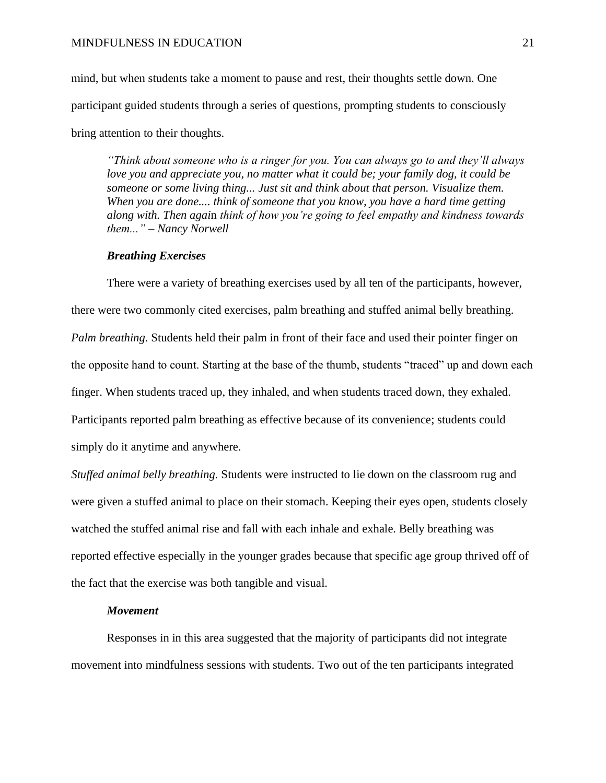mind, but when students take a moment to pause and rest, their thoughts settle down. One participant guided students through a series of questions, prompting students to consciously bring attention to their thoughts.

*"Think about someone who is a ringer for you. You can always go to and they'll always love you and appreciate you, no matter what it could be; your family dog, it could be someone or some living thing... Just sit and think about that person. Visualize them. When you are done.... think of someone that you know, you have a hard time getting along with. Then agai*n *think of how you're going to feel empathy and kindness towards them..." – Nancy Norwell*

# *Breathing Exercises*

There were a variety of breathing exercises used by all ten of the participants, however, there were two commonly cited exercises, palm breathing and stuffed animal belly breathing. *Palm breathing.* Students held their palm in front of their face and used their pointer finger on the opposite hand to count. Starting at the base of the thumb, students "traced" up and down each finger. When students traced up, they inhaled, and when students traced down, they exhaled. Participants reported palm breathing as effective because of its convenience; students could simply do it anytime and anywhere.

*Stuffed animal belly breathing.* Students were instructed to lie down on the classroom rug and were given a stuffed animal to place on their stomach. Keeping their eyes open, students closely watched the stuffed animal rise and fall with each inhale and exhale. Belly breathing was reported effective especially in the younger grades because that specific age group thrived off of the fact that the exercise was both tangible and visual.

# *Movement*

Responses in in this area suggested that the majority of participants did not integrate movement into mindfulness sessions with students. Two out of the ten participants integrated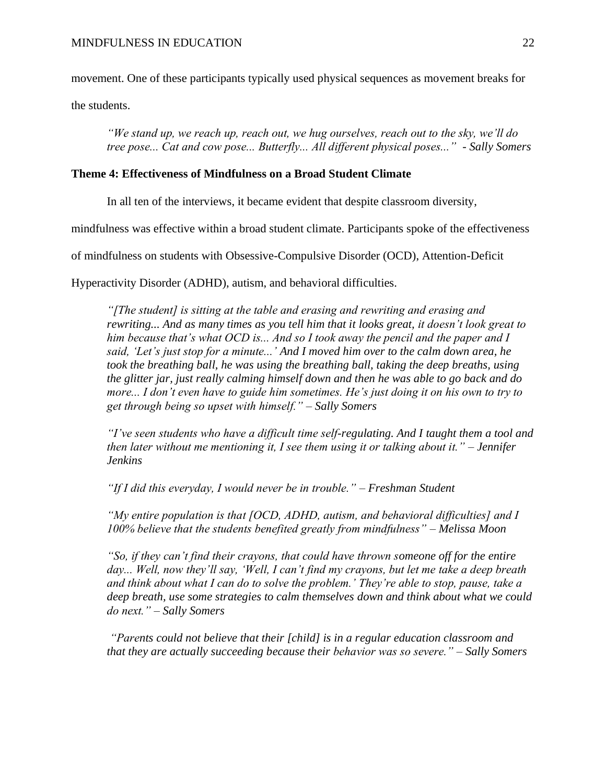movement. One of these participants typically used physical sequences as movement breaks for

the students.

*"We stand up, we reach up, reach out, we hug ourselves, reach out to the sky, we'll do tree pose... Cat and cow pose... Butterfly... All different physical poses..." - Sally Somers*

# **Theme 4: Effectiveness of Mindfulness on a Broad Student Climate**

In all ten of the interviews, it became evident that despite classroom diversity,

mindfulness was effective within a broad student climate. Participants spoke of the effectiveness

of mindfulness on students with Obsessive-Compulsive Disorder (OCD), Attention-Deficit

Hyperactivity Disorder (ADHD), autism, and behavioral difficulties.

*"[The student] is sitting at the table and erasing and rewriting and erasing and rewriting... And as many times as you tell him that it looks great, it doesn't look great to him because that's what OCD is... And so I took away the pencil and the paper and I said, 'Let's just stop for a minute...' And I moved him over to the calm down area, he took the breathing ball, he was using the breathing ball, taking the deep breaths, using the glitter jar, just really calming himself down and then he was able to go back and do more... I don't even have to guide him sometimes. He's just doing it on his own to try to get through being so upset with himself." – Sally Somers* 

*"I've seen students who have a difficult time self-regulating. And I taught them a tool and then later without me mentioning it, I see them using it or talking about it." – Jennifer Jenkins* 

*"If I did this everyday, I would never be in trouble." – Freshman Student* 

*"My entire population is that [OCD, ADHD, autism, and behavioral difficulties] and I 100% believe that the students benefited greatly from mindfulness" – Melissa Moon* 

*"So, if they can't find their crayons, that could have thrown someone off for the entire day... Well, now they'll say, 'Well, I can't find my crayons, but let me take a deep breath and think about what I can do to solve the problem.' They're able to stop, pause, take a deep breath, use some strategies to calm themselves down and think about what we could do next." – Sally Somers* 

*"Parents could not believe that their [child] is in a regular education classroom and that they are actually succeeding because their behavior was so severe." – Sally Somers*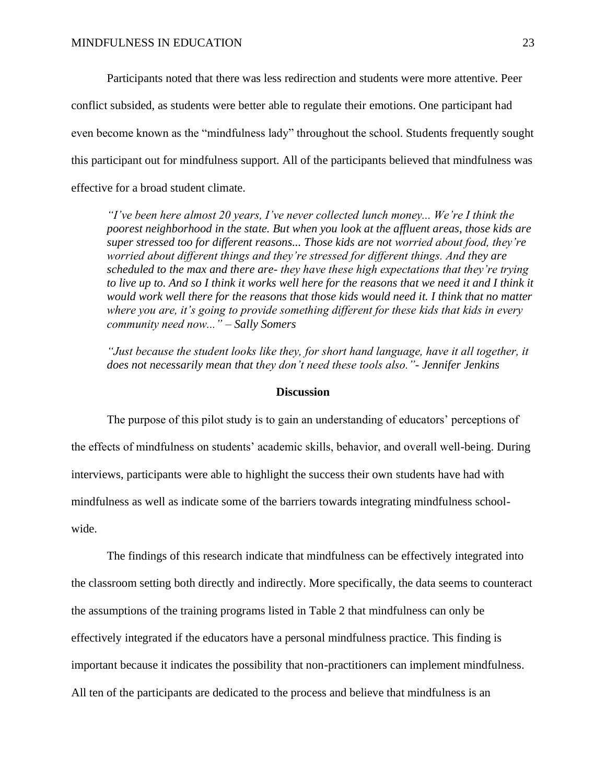Participants noted that there was less redirection and students were more attentive. Peer conflict subsided, as students were better able to regulate their emotions. One participant had even become known as the "mindfulness lady" throughout the school. Students frequently sought this participant out for mindfulness support. All of the participants believed that mindfulness was effective for a broad student climate.

*"I've been here almost 20 years, I've never collected lunch money... We're I think the poorest neighborhood in the state. But when you look at the affluent areas, those kids are super stressed too for different reasons... Those kids are not worried about food, they're worried about different things and they're stressed for different things. And they are scheduled to the max and there are- they have these high expectations that they're trying*  to live up to. And so I think it works well here for the reasons that we need it and I think it *would work well there for the reasons that those kids would need it. I think that no matter where you are, it's going to provide something different for these kids that kids in every community need now..." – Sally Somers*

*"Just because the student looks like they, for short hand language, have it all together, it does not necessarily mean that they don't need these tools also."- Jennifer Jenkins*

# **Discussion**

The purpose of this pilot study is to gain an understanding of educators' perceptions of the effects of mindfulness on students' academic skills, behavior, and overall well-being. During interviews, participants were able to highlight the success their own students have had with mindfulness as well as indicate some of the barriers towards integrating mindfulness schoolwide.

The findings of this research indicate that mindfulness can be effectively integrated into the classroom setting both directly and indirectly. More specifically, the data seems to counteract the assumptions of the training programs listed in Table 2 that mindfulness can only be effectively integrated if the educators have a personal mindfulness practice. This finding is important because it indicates the possibility that non-practitioners can implement mindfulness. All ten of the participants are dedicated to the process and believe that mindfulness is an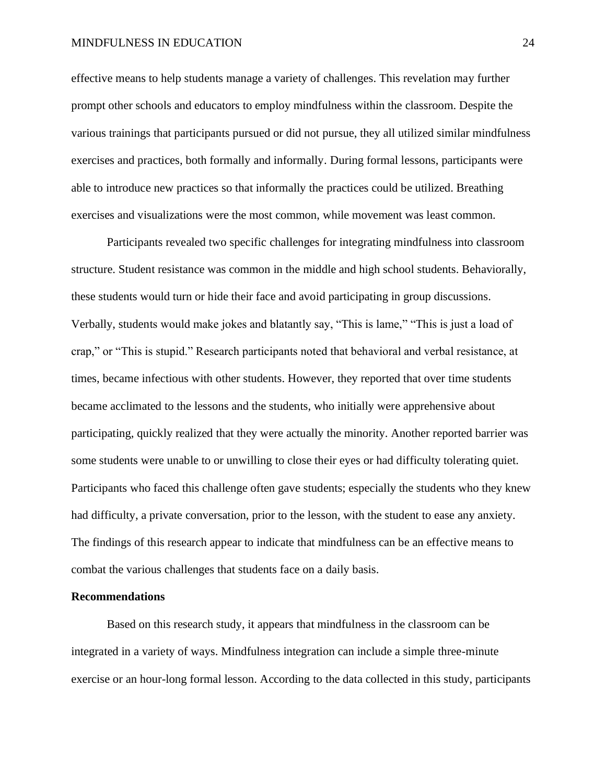#### MINDFULNESS IN EDUCATION 24

effective means to help students manage a variety of challenges. This revelation may further prompt other schools and educators to employ mindfulness within the classroom. Despite the various trainings that participants pursued or did not pursue, they all utilized similar mindfulness exercises and practices, both formally and informally. During formal lessons, participants were able to introduce new practices so that informally the practices could be utilized. Breathing exercises and visualizations were the most common, while movement was least common.

Participants revealed two specific challenges for integrating mindfulness into classroom structure. Student resistance was common in the middle and high school students. Behaviorally, these students would turn or hide their face and avoid participating in group discussions. Verbally, students would make jokes and blatantly say, "This is lame," "This is just a load of crap," or "This is stupid." Research participants noted that behavioral and verbal resistance, at times, became infectious with other students. However, they reported that over time students became acclimated to the lessons and the students, who initially were apprehensive about participating, quickly realized that they were actually the minority. Another reported barrier was some students were unable to or unwilling to close their eyes or had difficulty tolerating quiet. Participants who faced this challenge often gave students; especially the students who they knew had difficulty, a private conversation, prior to the lesson, with the student to ease any anxiety. The findings of this research appear to indicate that mindfulness can be an effective means to combat the various challenges that students face on a daily basis.

# **Recommendations**

Based on this research study, it appears that mindfulness in the classroom can be integrated in a variety of ways. Mindfulness integration can include a simple three-minute exercise or an hour-long formal lesson. According to the data collected in this study, participants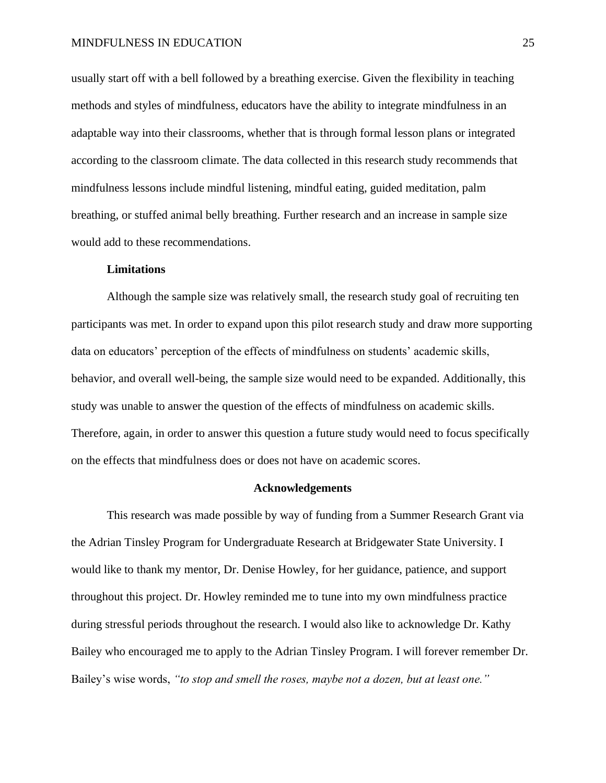usually start off with a bell followed by a breathing exercise. Given the flexibility in teaching methods and styles of mindfulness, educators have the ability to integrate mindfulness in an adaptable way into their classrooms, whether that is through formal lesson plans or integrated according to the classroom climate. The data collected in this research study recommends that mindfulness lessons include mindful listening, mindful eating, guided meditation, palm breathing, or stuffed animal belly breathing. Further research and an increase in sample size would add to these recommendations.

#### **Limitations**

Although the sample size was relatively small, the research study goal of recruiting ten participants was met. In order to expand upon this pilot research study and draw more supporting data on educators' perception of the effects of mindfulness on students' academic skills, behavior, and overall well-being, the sample size would need to be expanded. Additionally, this study was unable to answer the question of the effects of mindfulness on academic skills. Therefore, again, in order to answer this question a future study would need to focus specifically on the effects that mindfulness does or does not have on academic scores.

#### **Acknowledgements**

This research was made possible by way of funding from a Summer Research Grant via the Adrian Tinsley Program for Undergraduate Research at Bridgewater State University. I would like to thank my mentor, Dr. Denise Howley, for her guidance, patience, and support throughout this project. Dr. Howley reminded me to tune into my own mindfulness practice during stressful periods throughout the research. I would also like to acknowledge Dr. Kathy Bailey who encouraged me to apply to the Adrian Tinsley Program. I will forever remember Dr. Bailey's wise words, *"to stop and smell the roses, maybe not a dozen, but at least one."*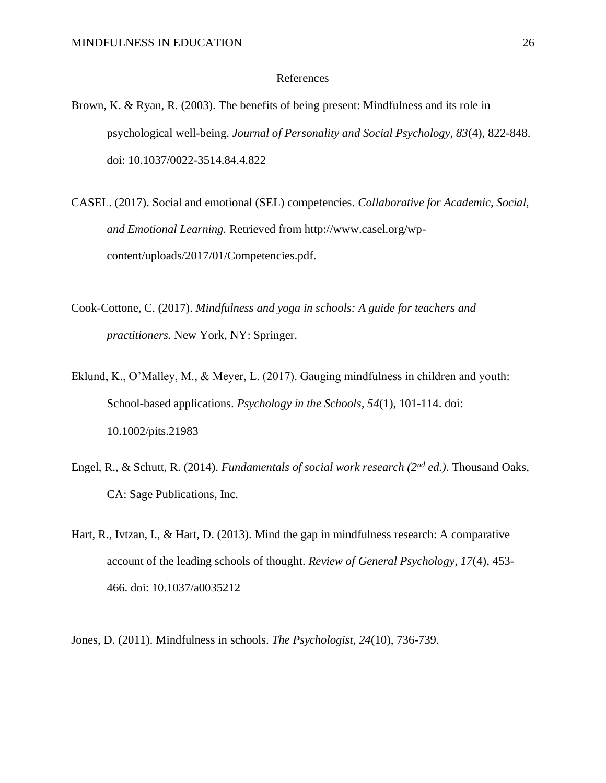#### References

Brown, K. & Ryan, R. (2003). The benefits of being present: Mindfulness and its role in psychological well-being. *Journal of Personality and Social Psychology, 83*(4), 822-848. doi: 10.1037/0022-3514.84.4.822

CASEL. (2017). Social and emotional (SEL) competencies. *Collaborative for Academic, Social, and Emotional Learning.* Retrieved from http://www.casel.org/wpcontent/uploads/2017/01/Competencies.pdf.

- Cook-Cottone, C. (2017). *Mindfulness and yoga in schools: A guide for teachers and practitioners.* New York, NY: Springer.
- Eklund, K., O'Malley, M., & Meyer, L. (2017). Gauging mindfulness in children and youth: School-based applications. *Psychology in the Schools, 54*(1), 101-114. doi: 10.1002/pits.21983
- Engel, R., & Schutt, R. (2014). *Fundamentals of social work research (2nd ed.).* Thousand Oaks, CA: Sage Publications, Inc.
- Hart, R., Ivtzan, I., & Hart, D. (2013). Mind the gap in mindfulness research: A comparative account of the leading schools of thought. *Review of General Psychology, 17*(4), 453- 466. doi: 10.1037/a0035212

Jones, D. (2011). Mindfulness in schools. *The Psychologist*, *24*(10), 736-739.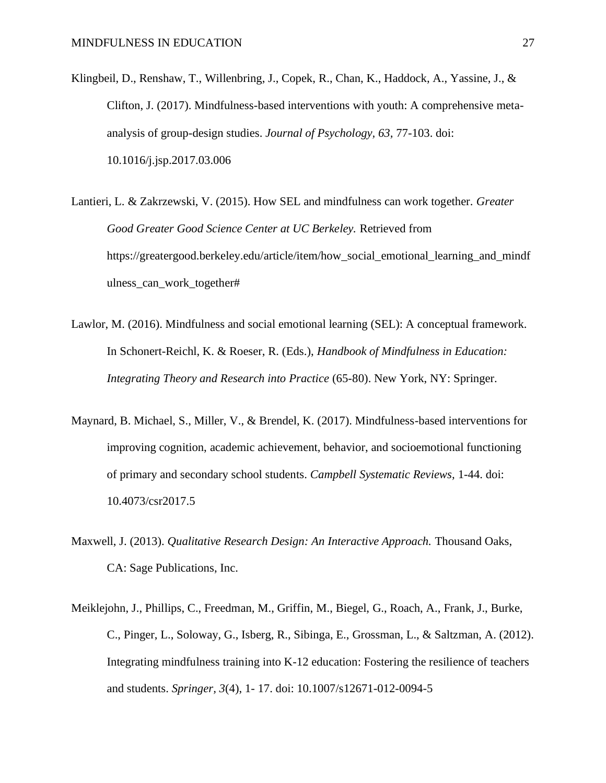- Klingbeil, D., Renshaw, T., Willenbring, J., Copek, R., Chan, K., Haddock, A., Yassine, J., & Clifton, J. (2017). Mindfulness-based interventions with youth: A comprehensive metaanalysis of group-design studies. *Journal of Psychology, 63,* 77-103. doi: 10.1016/j.jsp.2017.03.006
- Lantieri, L. & Zakrzewski, V. (2015). How SEL and mindfulness can work together. *Greater Good Greater Good Science Center at UC Berkeley.* Retrieved from https://greatergood.berkeley.edu/article/item/how\_social\_emotional\_learning\_and\_mindf ulness can work together#
- Lawlor, M. (2016). Mindfulness and social emotional learning (SEL): A conceptual framework. In Schonert-Reichl, K. & Roeser, R. (Eds.), *Handbook of Mindfulness in Education: Integrating Theory and Research into Practice* (65-80). New York, NY: Springer.
- Maynard, B. Michael, S., Miller, V., & Brendel, K. (2017). Mindfulness-based interventions for improving cognition, academic achievement, behavior, and socioemotional functioning of primary and secondary school students. *Campbell Systematic Reviews,* 1-44. doi: 10.4073/csr2017.5
- Maxwell, J. (2013). *Qualitative Research Design: An Interactive Approach.* Thousand Oaks, CA: Sage Publications, Inc.
- Meiklejohn, J., Phillips, C., Freedman, M., Griffin, M., Biegel, G., Roach, A., Frank, J., Burke, C., Pinger, L., Soloway, G., Isberg, R., Sibinga, E., Grossman, L., & Saltzman, A. (2012). Integrating mindfulness training into K-12 education: Fostering the resilience of teachers and students. *Springer, 3*(4), 1- 17. doi: 10.1007/s12671-012-0094-5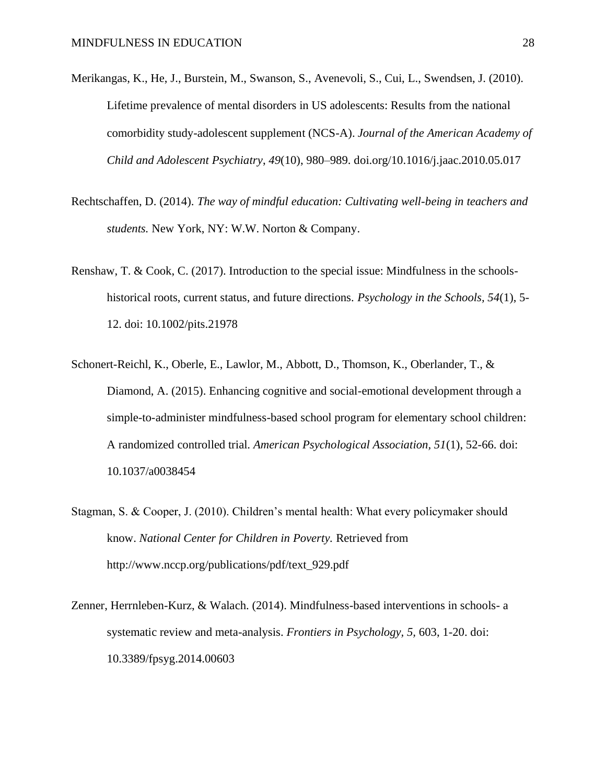- Merikangas, K., He, J., Burstein, M., Swanson, S., Avenevoli, S., Cui, L., Swendsen, J. (2010). Lifetime prevalence of mental disorders in US adolescents: Results from the national comorbidity study-adolescent supplement (NCS-A). *Journal of the American Academy of Child and Adolescent Psychiatry*, *49*(10), 980–989. doi.org/10.1016/j.jaac.2010.05.017
- Rechtschaffen, D. (2014). *The way of mindful education: Cultivating well-being in teachers and students.* New York, NY: W.W. Norton & Company.
- Renshaw, T. & Cook, C. (2017). Introduction to the special issue: Mindfulness in the schoolshistorical roots, current status, and future directions. *Psychology in the Schools, 54*(1), 5- 12. doi: 10.1002/pits.21978
- Schonert-Reichl, K., Oberle, E., Lawlor, M., Abbott, D., Thomson, K., Oberlander, T., & Diamond, A. (2015). Enhancing cognitive and social-emotional development through a simple-to-administer mindfulness-based school program for elementary school children: A randomized controlled trial. *American Psychological Association, 51*(1), 52-66. doi: 10.1037/a0038454
- Stagman, S. & Cooper, J. (2010). Children's mental health: What every policymaker should know. *National Center for Children in Poverty.* Retrieved from http://www.nccp.org/publications/pdf/text\_929.pdf
- Zenner, Herrnleben-Kurz, & Walach. (2014). Mindfulness-based interventions in schools- a systematic review and meta-analysis. *Frontiers in Psychology, 5,* 603, 1-20. doi: 10.3389/fpsyg.2014.00603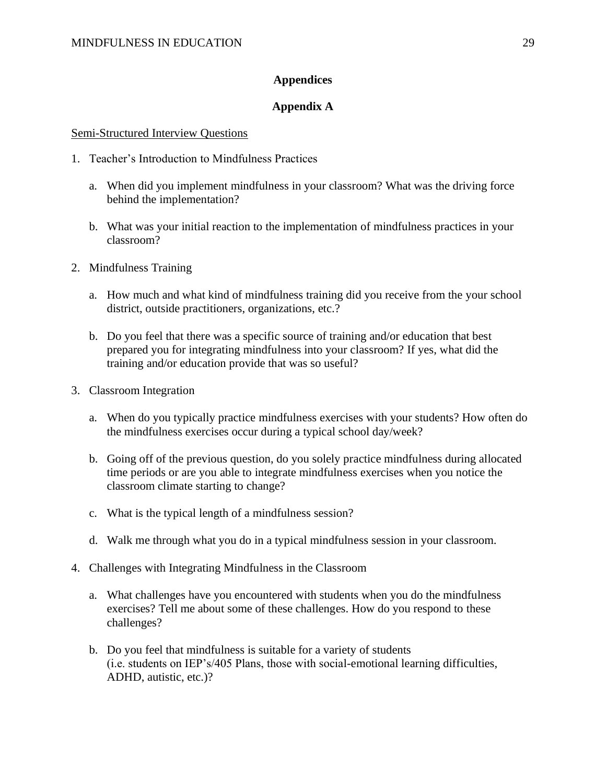# **Appendices**

# **Appendix A**

#### Semi-Structured Interview Questions

- 1. Teacher's Introduction to Mindfulness Practices
	- a. When did you implement mindfulness in your classroom? What was the driving force behind the implementation?
	- b. What was your initial reaction to the implementation of mindfulness practices in your classroom?
- 2. Mindfulness Training
	- a. How much and what kind of mindfulness training did you receive from the your school district, outside practitioners, organizations, etc.?
	- b. Do you feel that there was a specific source of training and/or education that best prepared you for integrating mindfulness into your classroom? If yes, what did the training and/or education provide that was so useful?
- 3. Classroom Integration
	- a. When do you typically practice mindfulness exercises with your students? How often do the mindfulness exercises occur during a typical school day/week?
	- b. Going off of the previous question, do you solely practice mindfulness during allocated time periods or are you able to integrate mindfulness exercises when you notice the classroom climate starting to change?
	- c. What is the typical length of a mindfulness session?
	- d. Walk me through what you do in a typical mindfulness session in your classroom.
- 4. Challenges with Integrating Mindfulness in the Classroom
	- a. What challenges have you encountered with students when you do the mindfulness exercises? Tell me about some of these challenges. How do you respond to these challenges?
	- b. Do you feel that mindfulness is suitable for a variety of students (i.e. students on IEP's/405 Plans, those with social-emotional learning difficulties, ADHD, autistic, etc.)?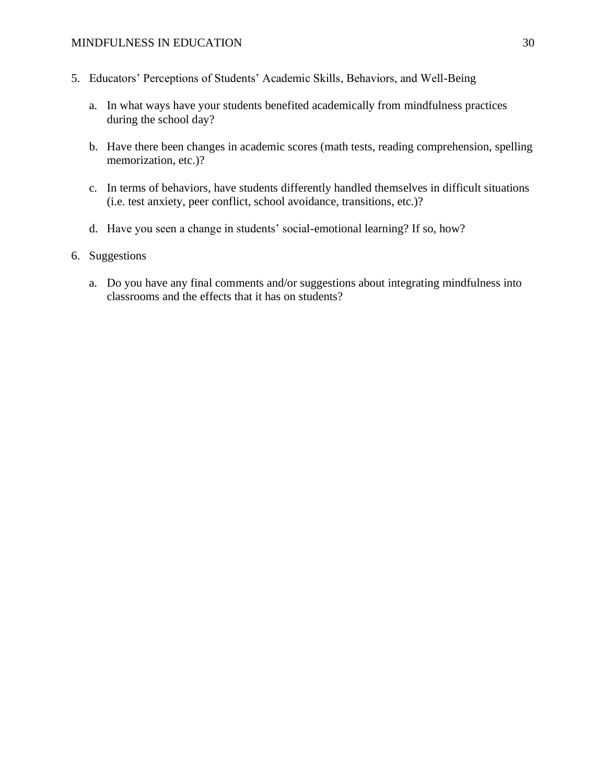# MINDFULNESS IN EDUCATION 30

- 5. Educators' Perceptions of Students' Academic Skills, Behaviors, and Well-Being
	- a. In what ways have your students benefited academically from mindfulness practices during the school day?
	- b. Have there been changes in academic scores (math tests, reading comprehension, spelling memorization, etc.)?
	- c. In terms of behaviors, have students differently handled themselves in difficult situations (i.e. test anxiety, peer conflict, school avoidance, transitions, etc.)?
	- d. Have you seen a change in students' social-emotional learning? If so, how?
- 6. Suggestions
	- a. Do you have any final comments and/or suggestions about integrating mindfulness into classrooms and the effects that it has on students?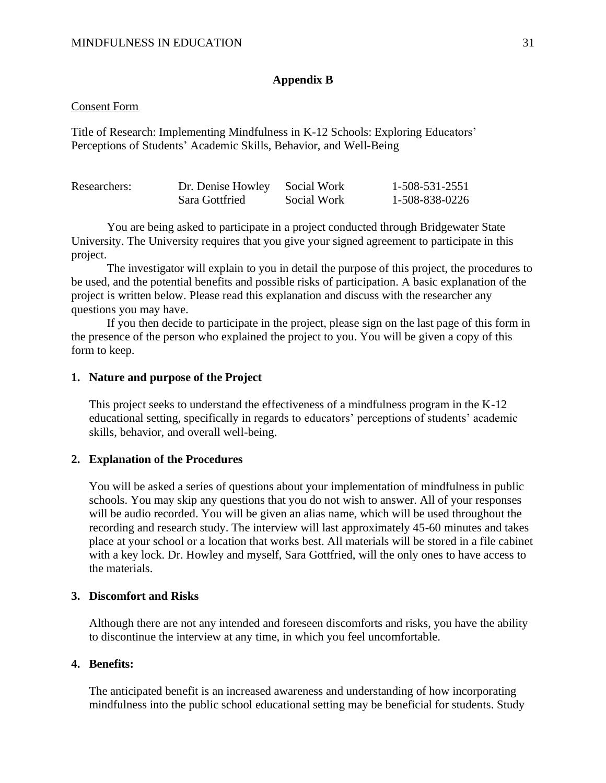# **Appendix B**

#### Consent Form

Title of Research: Implementing Mindfulness in K-12 Schools: Exploring Educators' Perceptions of Students' Academic Skills, Behavior, and Well-Being

| Researchers: | Dr. Denise Howley | Social Work | 1-508-531-2551 |
|--------------|-------------------|-------------|----------------|
|              | Sara Gottfried    | Social Work | 1-508-838-0226 |

You are being asked to participate in a project conducted through Bridgewater State University. The University requires that you give your signed agreement to participate in this project.

The investigator will explain to you in detail the purpose of this project, the procedures to be used, and the potential benefits and possible risks of participation. A basic explanation of the project is written below. Please read this explanation and discuss with the researcher any questions you may have.

If you then decide to participate in the project, please sign on the last page of this form in the presence of the person who explained the project to you. You will be given a copy of this form to keep.

# **1. Nature and purpose of the Project**

This project seeks to understand the effectiveness of a mindfulness program in the K-12 educational setting, specifically in regards to educators' perceptions of students' academic skills, behavior, and overall well-being.

# **2. Explanation of the Procedures**

You will be asked a series of questions about your implementation of mindfulness in public schools. You may skip any questions that you do not wish to answer. All of your responses will be audio recorded. You will be given an alias name, which will be used throughout the recording and research study. The interview will last approximately 45-60 minutes and takes place at your school or a location that works best. All materials will be stored in a file cabinet with a key lock. Dr. Howley and myself, Sara Gottfried, will the only ones to have access to the materials.

# **3. Discomfort and Risks**

Although there are not any intended and foreseen discomforts and risks, you have the ability to discontinue the interview at any time, in which you feel uncomfortable.

# **4. Benefits:**

The anticipated benefit is an increased awareness and understanding of how incorporating mindfulness into the public school educational setting may be beneficial for students. Study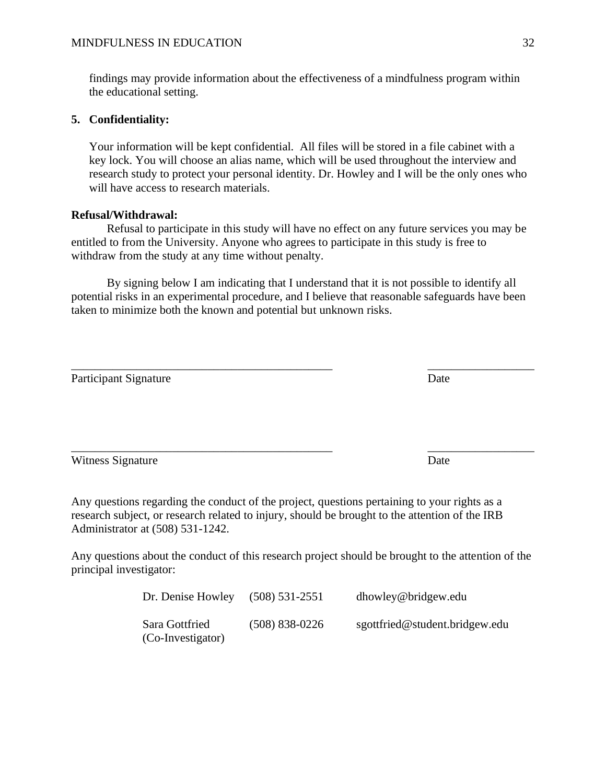findings may provide information about the effectiveness of a mindfulness program within the educational setting.

# **5. Confidentiality:**

Your information will be kept confidential. All files will be stored in a file cabinet with a key lock. You will choose an alias name, which will be used throughout the interview and research study to protect your personal identity. Dr. Howley and I will be the only ones who will have access to research materials.

## **Refusal/Withdrawal:**

Refusal to participate in this study will have no effect on any future services you may be entitled to from the University. Anyone who agrees to participate in this study is free to withdraw from the study at any time without penalty.

By signing below I am indicating that I understand that it is not possible to identify all potential risks in an experimental procedure, and I believe that reasonable safeguards have been taken to minimize both the known and potential but unknown risks.

| <b>Participant Signature</b>                                                                 | Date |
|----------------------------------------------------------------------------------------------|------|
|                                                                                              |      |
| Witness Signature                                                                            | Date |
| Any questions regarding the conduct of the project, questions pertaining to your rights as a |      |

Any questions regarding the conduct of the project, questions pertaining to your rights as a research subject, or research related to injury, should be brought to the attention of the IRB Administrator at (508) 531-1242.

Any questions about the conduct of this research project should be brought to the attention of the principal investigator:

| Dr. Denise Howley                   | $(508) 531 - 2551$ | dhowley@bridgew.edu            |
|-------------------------------------|--------------------|--------------------------------|
| Sara Gottfried<br>(Co-Investigator) | $(508) 838 - 0226$ | sgottfried@student.bridgew.edu |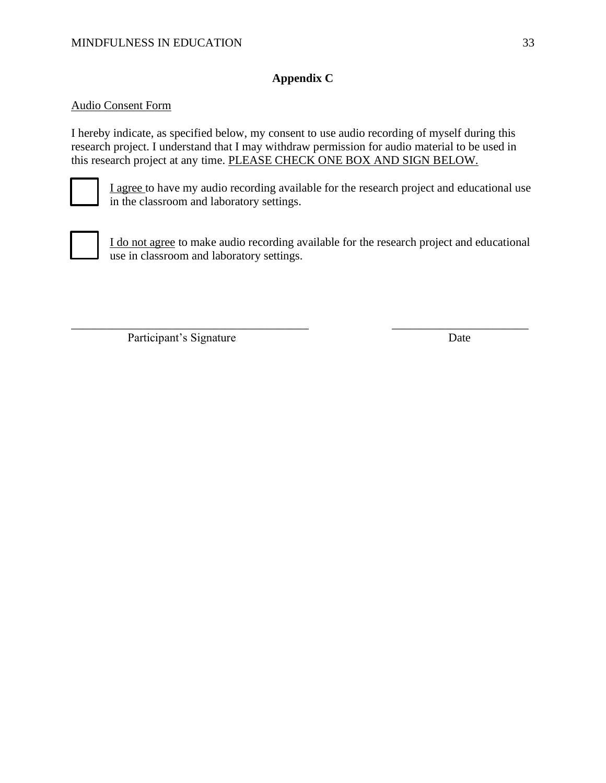# **Appendix C**

# Audio Consent Form

I hereby indicate, as specified below, my consent to use audio recording of myself during this research project. I understand that I may withdraw permission for audio material to be used in this research project at any time. PLEASE CHECK ONE BOX AND SIGN BELOW.



I agree to have my audio recording available for the research project and educational use in the classroom and laboratory settings.



I do not agree to make audio recording available for the research project and educational use in classroom and laboratory settings.

\_\_\_\_\_\_\_\_\_\_\_\_\_\_\_\_\_\_\_\_\_\_\_\_\_\_\_\_\_\_\_\_\_\_\_\_\_\_\_\_ \_\_\_\_\_\_\_\_\_\_\_\_\_\_\_\_\_\_\_\_\_\_\_

Participant's Signature Date